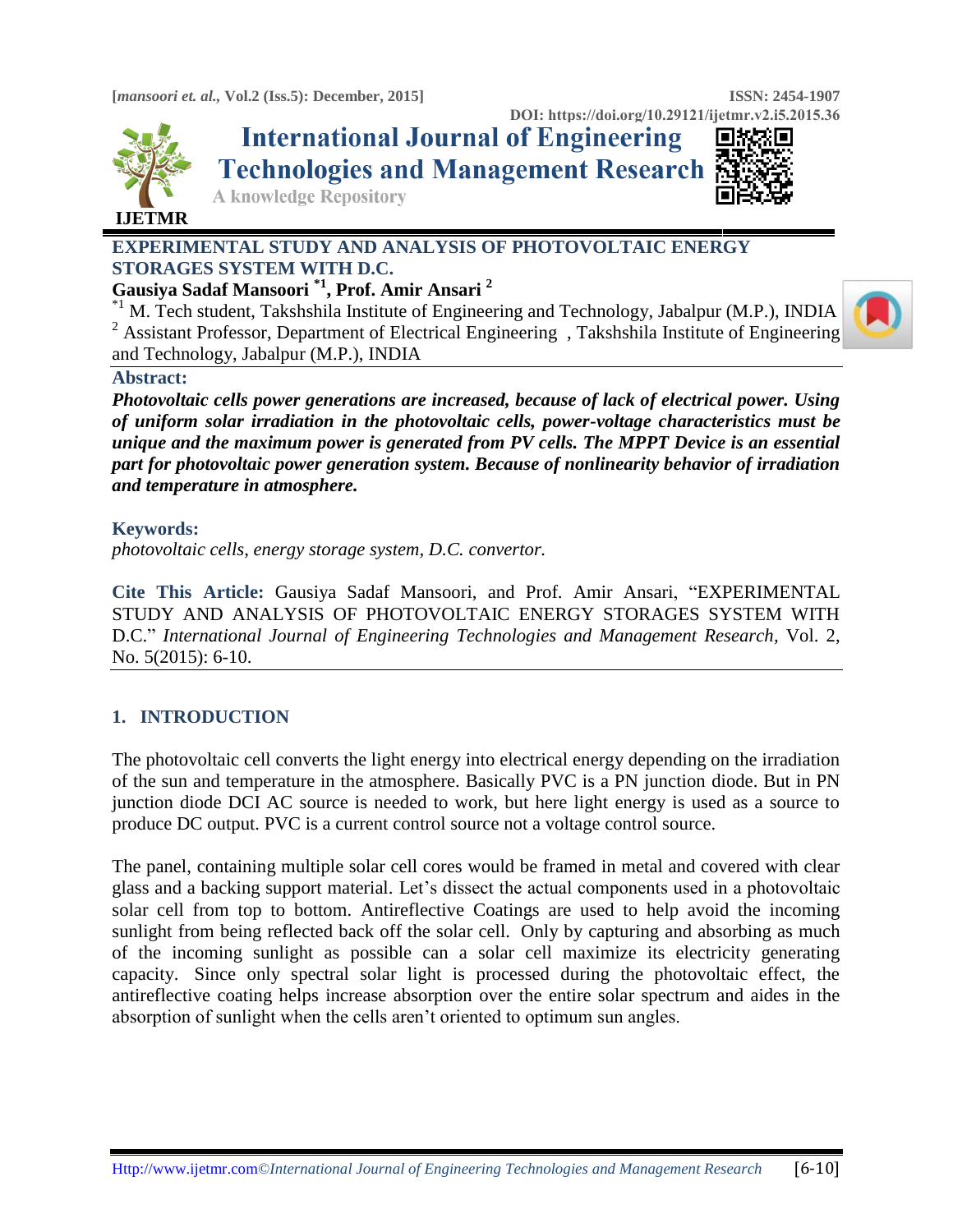**DOI: https://doi.org/10.29121/ijetmr.v2.i5.2015.36**



**International Journal of Engineering Technologies and Management Research** 



**A knowledge Repository** 

## **EXPERIMENTAL STUDY AND ANALYSIS OF PHOTOVOLTAIC ENERGY STORAGES SYSTEM WITH D.C.**

## **Gausiya Sadaf Mansoori \*1 , Prof. Amir Ansari <sup>2</sup>**

 $*$ <sup>1</sup> M. Tech student, Takshshila Institute of Engineering and Technology, Jabalpur (M.P.), INDIA <sup>2</sup> Assistant Professor, Department of Electrical Engineering, Takshshila Institute of Engineering and Technology, Jabalpur (M.P.), INDIA

## **Abstract:**

*Photovoltaic cells power generations are increased, because of lack of electrical power. Using of uniform solar irradiation in the photovoltaic cells, power-voltage characteristics must be unique and the maximum power is generated from PV cells. The MPPT Device is an essential part for photovoltaic power generation system. Because of nonlinearity behavior of irradiation and temperature in atmosphere.*

## **Keywords:**

*photovoltaic cells, energy storage system, D.C. convertor.*

**Cite This Article:** Gausiya Sadaf Mansoori, and Prof. Amir Ansari, "EXPERIMENTAL STUDY AND ANALYSIS OF PHOTOVOLTAIC ENERGY STORAGES SYSTEM WITH D.C." *International Journal of Engineering Technologies and Management Research,* Vol. 2, No. 5(2015): 6-10.

# **1. INTRODUCTION**

The photovoltaic cell converts the light energy into electrical energy depending on the irradiation of the sun and temperature in the atmosphere. Basically PVC is a PN junction diode. But in PN junction diode DCI AC source is needed to work, but here light energy is used as a source to produce DC output. PVC is a current control source not a voltage control source.

The panel, containing multiple solar cell cores would be framed in metal and covered with clear glass and a backing support material. Let's dissect the actual components used in a photovoltaic solar cell from top to bottom. Antireflective Coatings are used to help avoid the incoming sunlight from being reflected back off the solar cell. Only by capturing and absorbing as much of the incoming sunlight as possible can a solar cell maximize its electricity generating capacity. Since only spectral solar light is processed during the photovoltaic effect, the antireflective coating helps increase absorption over the entire solar spectrum and aides in the absorption of sunlight when the cells aren't oriented to optimum sun angles.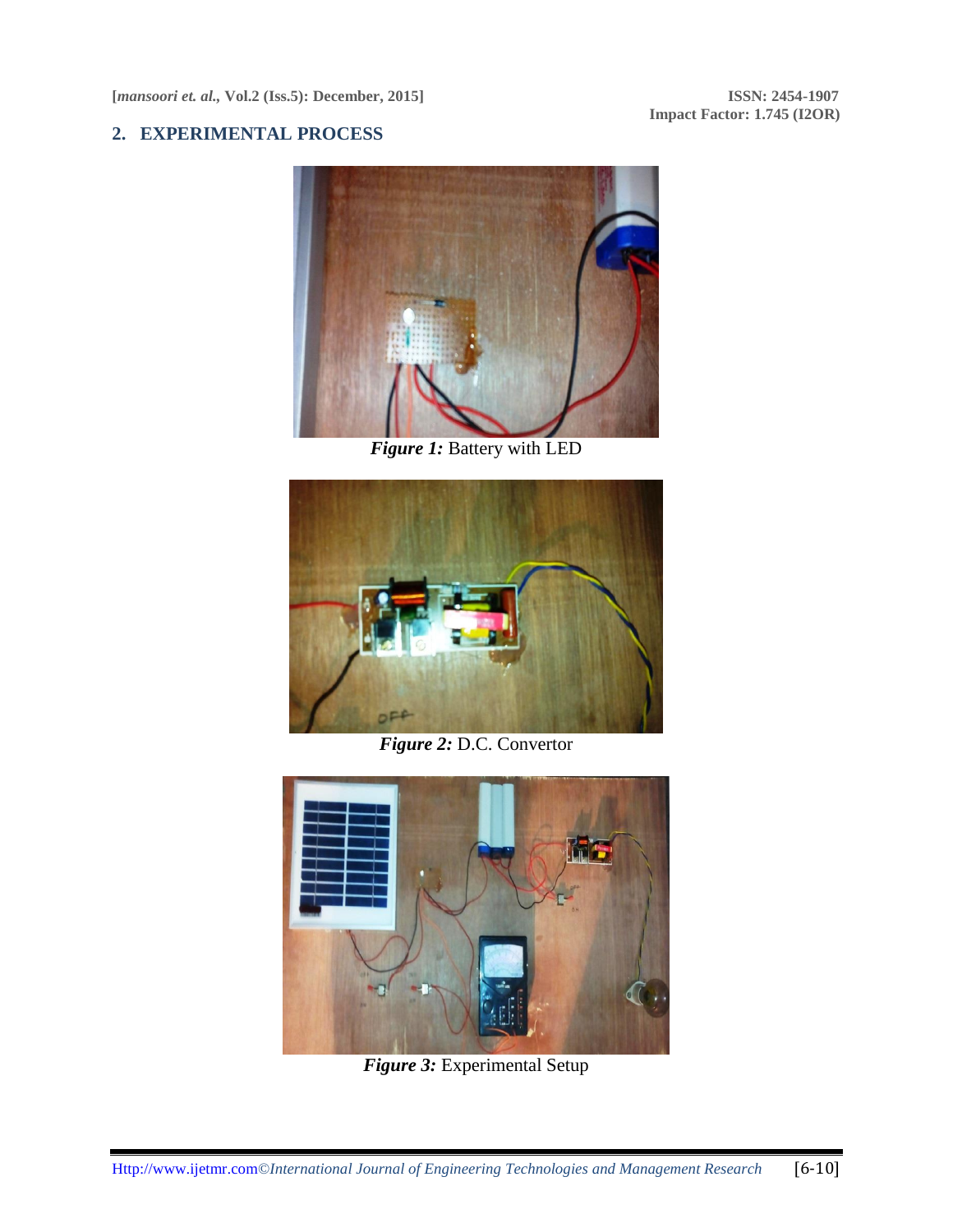**Impact Factor: 1.745 (I2OR)**

#### **2. EXPERIMENTAL PROCESS**



*Figure 1:* Battery with LED



*Figure 2:* D.C. Convertor



*Figure 3:* Experimental Setup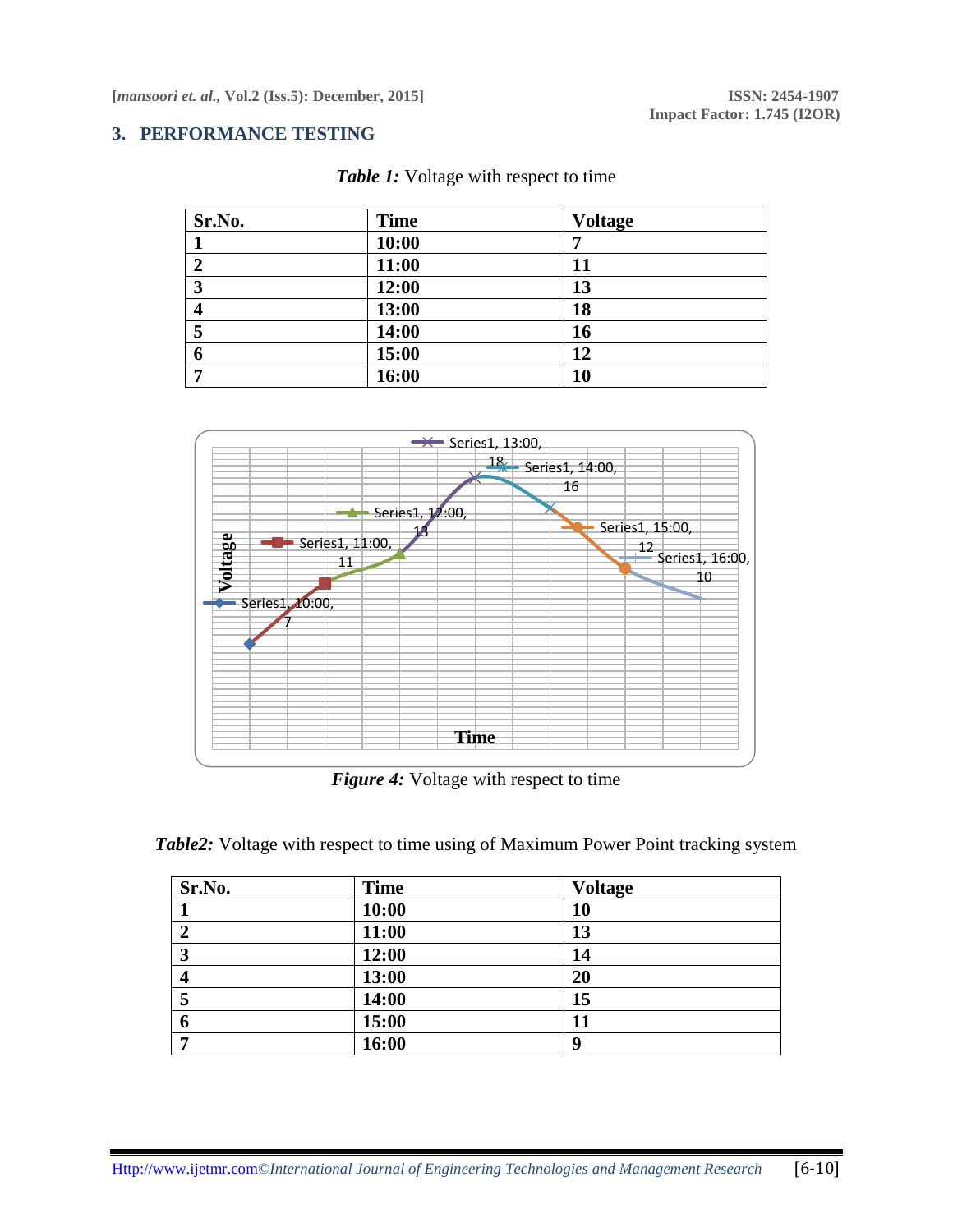**Impact Factor: 1.745 (I2OR)**

### **3. PERFORMANCE TESTING**

| Sr.No.      | <b>Time</b> | <b>Voltage</b> |
|-------------|-------------|----------------|
|             | 10:00       |                |
| $\mathbf 2$ | 11:00       | 11             |
| 3           | 12:00       | 13             |
| 4           | 13:00       | 18             |
| 5           | 14:00       | 16             |
| 6           | 15:00       | 12             |
| −           | 16:00       | 10             |





*Figure 4:* Voltage with respect to time

| Sr.No. | <b>Time</b> | <b>Voltage</b> |  |
|--------|-------------|----------------|--|
|        | 10:00       | 10             |  |
| 2      | 11:00       | 13             |  |
| 3      | 12:00       | 14             |  |
| 4      | 13:00       | 20             |  |
| 5      | 14:00       | 15             |  |
| 6      | 15:00       | 11             |  |
| –      | 16:00       | <b>Q</b>       |  |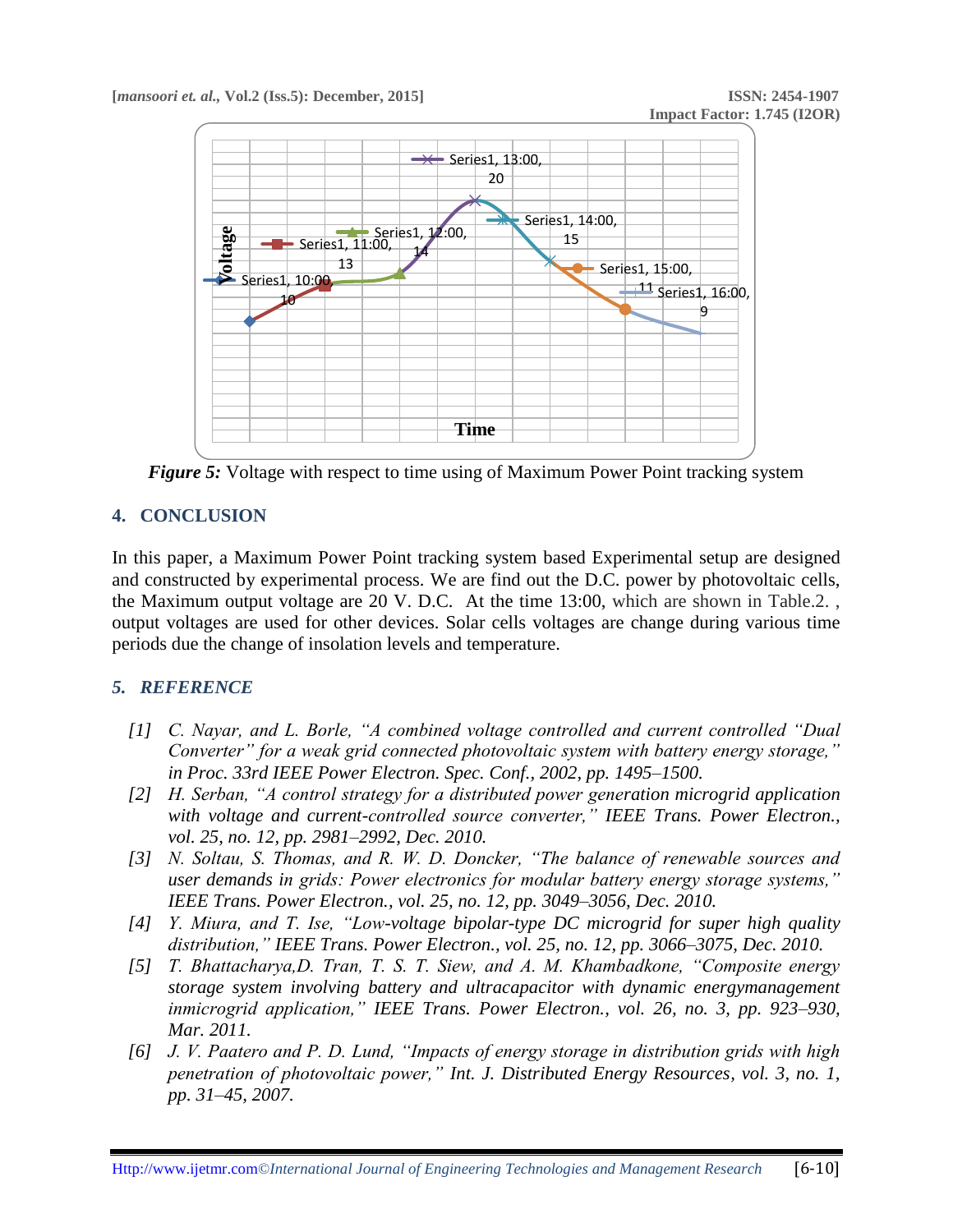

*Figure 5:* Voltage with respect to time using of Maximum Power Point tracking system

## **4. CONCLUSION**

In this paper, a Maximum Power Point tracking system based Experimental setup are designed and constructed by experimental process. We are find out the D.C. power by photovoltaic cells, the Maximum output voltage are 20 V. D.C. At the time 13:00, which are shown in Table.2. , output voltages are used for other devices. Solar cells voltages are change during various time periods due the change of insolation levels and temperature.

### *5. REFERENCE*

- *[1] C. Nayar, and L. Borle, "A combined voltage controlled and current controlled "Dual Converter" for a weak grid connected photovoltaic system with battery energy storage," in Proc. 33rd IEEE Power Electron. Spec. Conf., 2002, pp. 1495–1500.*
- *[2] H. Serban, "A control strategy for a distributed power generation microgrid application*  with voltage and current-controlled source converter," IEEE Trans. Power Electron., *vol. 25, no. 12, pp. 2981–2992, Dec. 2010.*
- *[3] N. Soltau, S. Thomas, and R. W. D. Doncker, "The balance of renewable sources and user demands in grids: Power electronics for modular battery energy storage systems," IEEE Trans. Power Electron., vol. 25, no. 12, pp. 3049–3056, Dec. 2010.*
- *[4] Y. Miura, and T. Ise, "Low-voltage bipolar-type DC microgrid for super high quality distribution," IEEE Trans. Power Electron., vol. 25, no. 12, pp. 3066–3075, Dec. 2010.*
- *[5] T. Bhattacharya,D. Tran, T. S. T. Siew, and A. M. Khambadkone, "Composite energy storage system involving battery and ultracapacitor with dynamic energymanagement inmicrogrid application," IEEE Trans. Power Electron., vol. 26, no. 3, pp. 923–930, Mar. 2011.*
- *[6] J. V. Paatero and P. D. Lund, "Impacts of energy storage in distribution grids with high penetration of photovoltaic power," Int. J. Distributed Energy Resources, vol. 3, no. 1, pp. 31–45, 2007.*